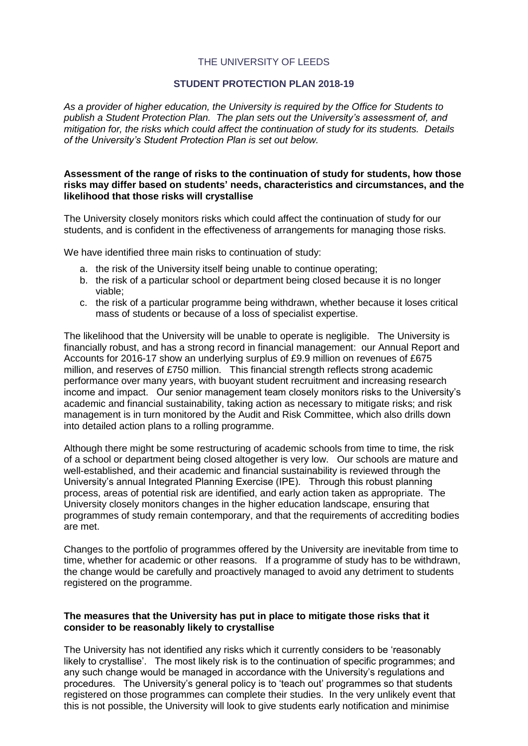### THE UNIVERSITY OF LEEDS

## **STUDENT PROTECTION PLAN 2018-19**

*As a provider of higher education, the University is required by the Office for Students to publish a Student Protection Plan. The plan sets out the University's assessment of, and mitigation for, the risks which could affect the continuation of study for its students. Details of the University's Student Protection Plan is set out below.*

### **Assessment of the range of risks to the continuation of study for students, how those risks may differ based on students' needs, characteristics and circumstances, and the likelihood that those risks will crystallise**

The University closely monitors risks which could affect the continuation of study for our students, and is confident in the effectiveness of arrangements for managing those risks.

We have identified three main risks to continuation of study:

- a. the risk of the University itself being unable to continue operating;
- b. the risk of a particular school or department being closed because it is no longer viable;
- c. the risk of a particular programme being withdrawn, whether because it loses critical mass of students or because of a loss of specialist expertise.

The likelihood that the University will be unable to operate is negligible. The University is financially robust, and has a strong record in financial management: our Annual Report and Accounts for 2016-17 show an underlying surplus of £9.9 million on revenues of £675 million, and reserves of £750 million. This financial strength reflects strong academic performance over many years, with buoyant student recruitment and increasing research income and impact. Our senior management team closely monitors risks to the University's academic and financial sustainability, taking action as necessary to mitigate risks; and risk management is in turn monitored by the Audit and Risk Committee, which also drills down into detailed action plans to a rolling programme.

Although there might be some restructuring of academic schools from time to time, the risk of a school or department being closed altogether is very low. Our schools are mature and well-established, and their academic and financial sustainability is reviewed through the University's annual Integrated Planning Exercise (IPE). Through this robust planning process, areas of potential risk are identified, and early action taken as appropriate. The University closely monitors changes in the higher education landscape, ensuring that programmes of study remain contemporary, and that the requirements of accrediting bodies are met.

Changes to the portfolio of programmes offered by the University are inevitable from time to time, whether for academic or other reasons. If a programme of study has to be withdrawn, the change would be carefully and proactively managed to avoid any detriment to students registered on the programme.

### **The measures that the University has put in place to mitigate those risks that it consider to be reasonably likely to crystallise**

The University has not identified any risks which it currently considers to be 'reasonably likely to crystallise'. The most likely risk is to the continuation of specific programmes; and any such change would be managed in accordance with the University's regulations and procedures. The University's general policy is to 'teach out' programmes so that students registered on those programmes can complete their studies. In the very unlikely event that this is not possible, the University will look to give students early notification and minimise